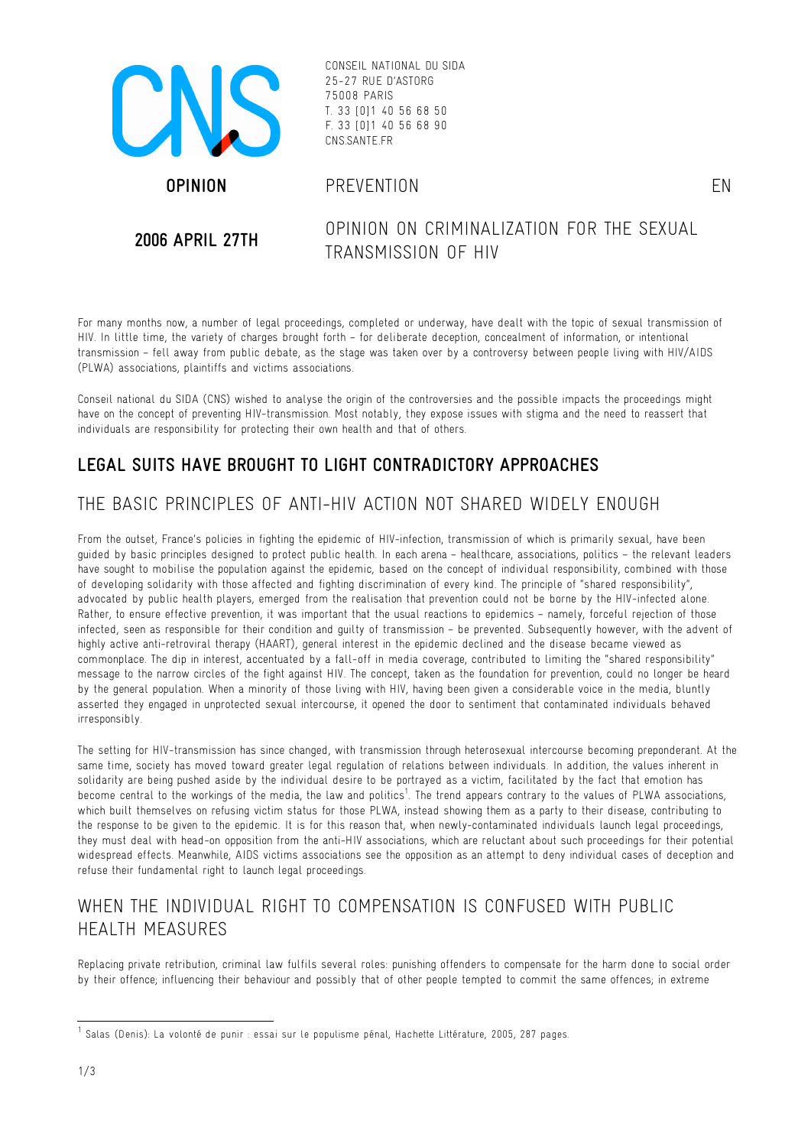

CONSEIL NATIONAL DU SIDA 25-27 RUE D'ASTORG 75008 PARIS T. 33 [0]1 40 56 68 50 F. 33 [0]1 40 56 68 90 CNS.SANTE.FR

#### **OPINION** PREVENTION EN

**2006 APRIL 27TH** OPINION ON CRIMINALIZATION FOR THE SEXUAL TRANSMISSION OF HIV

For many months now, a number of legal proceedings, completed or underway, have dealt with the topic of sexual transmission of HIV. In little time, the variety of charges brought forth – for deliberate deception, concealment of information, or intentional transmission – fell away from public debate, as the stage was taken over by a controversy between people living with HIV/AIDS (PLWA) associations, plaintiffs and victims associations.

Conseil national du SIDA (CNS) wished to analyse the origin of the controversies and the possible impacts the proceedings might have on the concept of preventing HIV-transmission. Most notably, they expose issues with stigma and the need to reassert that individuals are responsibility for protecting their own health and that of others.

## **LEGAL SUITS HAVE BROUGHT TO LIGHT CONTRADICTORY APPROACHES**

## THE BASIC PRINCIPLES OF ANTI-HIV ACTION NOT SHARED WIDELY FNOUGH

From the outset, France's policies in fighting the epidemic of HIV-infection, transmission of which is primarily sexual, have been guided by basic principles designed to protect public health. In each arena – healthcare, associations, politics – the relevant leaders have sought to mobilise the population against the epidemic, based on the concept of individual responsibility, combined with those of developing solidarity with those affected and fighting discrimination of every kind. The principle of "shared responsibility", advocated by public health players, emerged from the realisation that prevention could not be borne by the HIV-infected alone. Rather, to ensure effective prevention, it was important that the usual reactions to epidemics – namely, forceful rejection of those infected, seen as responsible for their condition and guilty of transmission – be prevented. Subsequently however, with the advent of highly active anti-retroviral therapy (HAART), general interest in the epidemic declined and the disease became viewed as commonplace. The dip in interest, accentuated by a fall-off in media coverage, contributed to limiting the "shared responsibility" message to the narrow circles of the fight against HIV. The concept, taken as the foundation for prevention, could no longer be heard by the general population. When a minority of those living with HIV, having been given a considerable voice in the media, bluntly asserted they engaged in unprotected sexual intercourse, it opened the door to sentiment that contaminated individuals behaved irresponsibly.

The setting for HIV-transmission has since changed, with transmission through heterosexual intercourse becoming preponderant. At the same time, society has moved toward greater legal regulation of relations between individuals. In addition, the values inherent in solidarity are being pushed aside by the individual desire to be portrayed as a victim, facilitated by the fact that emotion has become central to the workings of the media, the law and politics<sup>1</sup>. The trend appears contrary to the values of PLWA associations, which built themselves on refusing victim status for those PLWA, instead showing them as a party to their disease, contributing to the response to be given to the epidemic. It is for this reason that, when newly-contaminated individuals launch legal proceedings, they must deal with head-on opposition from the anti-HIV associations, which are reluctant about such proceedings for their potential widespread effects. Meanwhile, AIDS victims associations see the opposition as an attempt to deny individual cases of deception and refuse their fundamental right to launch legal proceedings.

## WHEN THE INDIVIDUAL RIGHT TO COMPENSATION IS CONFUSED WITH PUBLIC HEALTH MEASURES

Replacing private retribution, criminal law fulfils several roles: punishing offenders to compensate for the harm done to social order by their offence; influencing their behaviour and possibly that of other people tempted to commit the same offences; in extreme

 $<sup>1</sup>$  Salas (Denis): La volonté de punir : essai sur le populisme pénal, Hachette Littérature, 2005, 287 pages.</sup>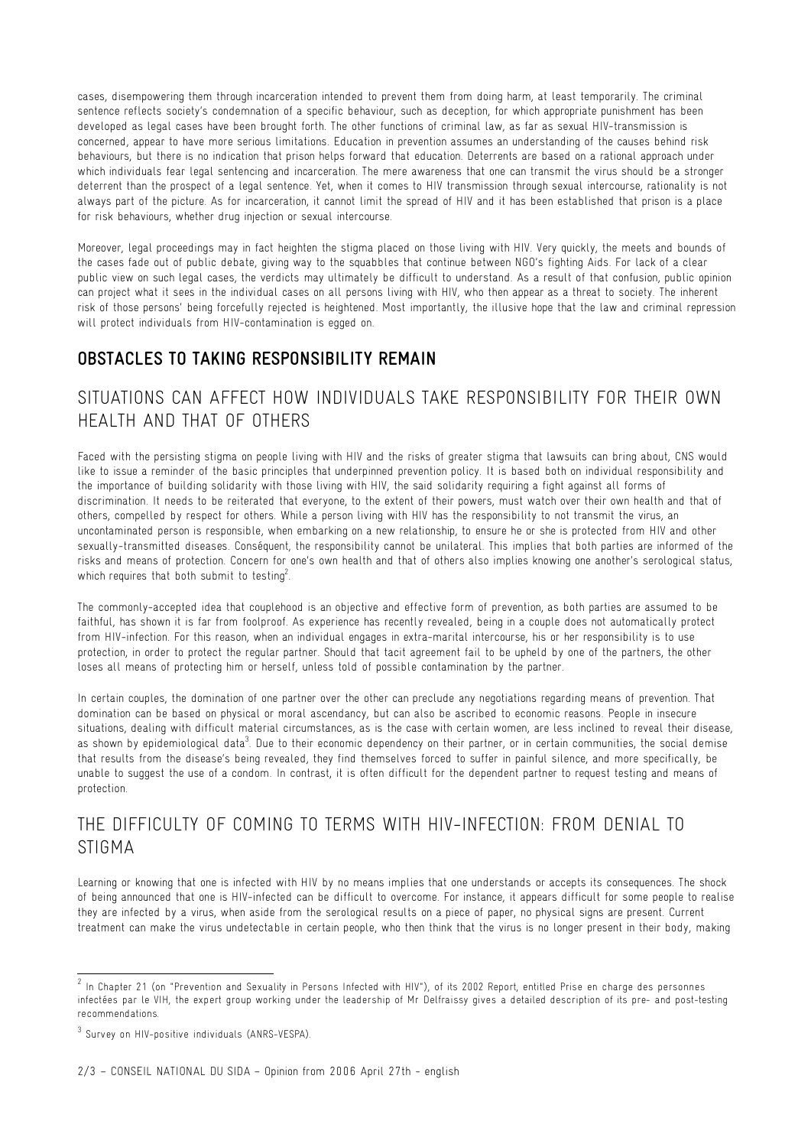cases, disempowering them through incarceration intended to prevent them from doing harm, at least temporarily. The criminal sentence reflects society's condemnation of a specific behaviour, such as deception, for which appropriate punishment has been developed as legal cases have been brought forth. The other functions of criminal law, as far as sexual HIV-transmission is concerned, appear to have more serious limitations. Education in prevention assumes an understanding of the causes behind risk behaviours, but there is no indication that prison helps forward that education. Deterrents are based on a rational approach under which individuals fear legal sentencing and incarceration. The mere awareness that one can transmit the virus should be a stronger deterrent than the prospect of a legal sentence. Yet, when it comes to HIV transmission through sexual intercourse, rationality is not always part of the picture. As for incarceration, it cannot limit the spread of HIV and it has been established that prison is a place for risk behaviours, whether drug injection or sexual intercourse.

Moreover, legal proceedings may in fact heighten the stigma placed on those living with HIV. Very quickly, the meets and bounds of the cases fade out of public debate, giving way to the squabbles that continue between NGO's fighting Aids. For lack of a clear public view on such legal cases, the verdicts may ultimately be difficult to understand. As a result of that confusion, public opinion can project what it sees in the individual cases on all persons living with HIV, who then appear as a threat to society. The inherent risk of those persons' being forcefully rejected is heightened. Most importantly, the illusive hope that the law and criminal repression will protect individuals from HIV-contamination is egged on.

### **OBSTACLES TO TAKING RESPONSIBILITY REMAIN**

## SITUATIONS CAN AFFECT HOW INDIVIDUALS TAKE RESPONSIBILITY FOR THEIR OWN HEALTH AND THAT OF OTHERS

Faced with the persisting stigma on people living with HIV and the risks of greater stigma that lawsuits can bring about, CNS would like to issue a reminder of the basic principles that underpinned prevention policy. It is based both on individual responsibility and the importance of building solidarity with those living with HIV, the said solidarity requiring a fight against all forms of discrimination. It needs to be reiterated that everyone, to the extent of their powers, must watch over their own health and that of others, compelled by respect for others. While a person living with HIV has the responsibility to not transmit the virus, an uncontaminated person is responsible, when embarking on a new relationship, to ensure he or she is protected from HIV and other sexually-transmitted diseases. Conséquent, the responsibility cannot be unilateral. This implies that both parties are informed of the risks and means of protection. Concern for one's own health and that of others also implies knowing one another's serological status, which requires that both submit to testing<sup>2</sup>. .

The commonly-accepted idea that couplehood is an objective and effective form of prevention, as both parties are assumed to be faithful, has shown it is far from foolproof. As experience has recently revealed, being in a couple does not automatically protect from HIV-infection. For this reason, when an individual engages in extra-marital intercourse, his or her responsibility is to use protection, in order to protect the regular partner. Should that tacit agreement fail to be upheld by one of the partners, the other loses all means of protecting him or herself, unless told of possible contamination by the partner.

In certain couples, the domination of one partner over the other can preclude any negotiations regarding means of prevention. That domination can be based on physical or moral ascendancy, but can also be ascribed to economic reasons. People in insecure situations, dealing with difficult material circumstances, as is the case with certain women, are less inclined to reveal their disease, as shown by epidemiological data $^3$ . Due to their economic dependency on their partner, or in certain communities, the social demise that results from the disease's being revealed, they find themselves forced to suffer in painful silence, and more specifically, be unable to suggest the use of a condom. In contrast, it is often difficult for the dependent partner to request testing and means of protection.

# THE DIFFICULTY OF COMING TO TERMS WITH HIV-INFECTION: FROM DENIAL TO STIGMA

Learning or knowing that one is infected with HIV by no means implies that one understands or accepts its consequences. The shock of being announced that one is HIV-infected can be difficult to overcome. For instance, it appears difficult for some people to realise they are infected by a virus, when aside from the serological results on a piece of paper, no physical signs are present. Current treatment can make the virus undetectable in certain people, who then think that the virus is no longer present in their body, making

 $2$  In Chapter 21 (on "Prevention and Sexuality in Persons Infected with HIV"), of its 2002 Report, entitled Prise en charge des personnes infectées par le VIH, the expert group working under the leadership of Mr Delfraissy gives a detailed description of its pre- and post-testing recommendations.

<sup>3</sup> Survey on HIV-positive individuals (ANRS-VESPA).